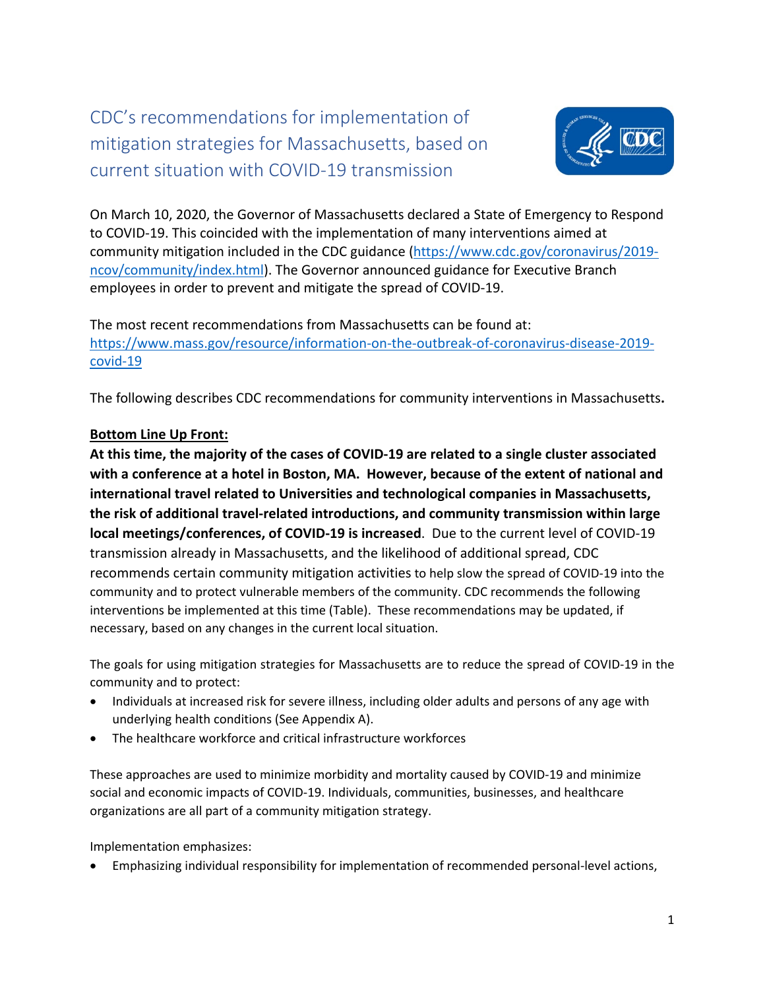## CDC's recommendations for implementation of mitigation strategies for Massachusetts, based on current situation with COVID-19 transmission



On March 10, 2020, the Governor of Massachusetts declared a State of Emergency to Respond to COVID-19. This coincided with the implementation of many interventions aimed at community mitigation included in the CDC guidance [\(https://www.cdc.gov/coronavirus/2019](https://www.cdc.gov/coronavirus/2019-ncov/community/index.html) [ncov/community/index.html\)](https://www.cdc.gov/coronavirus/2019-ncov/community/index.html). The Governor announced guidance for Executive Branch employees in order to prevent and mitigate the spread of COVID-19.

The most recent recommendations from Massachusetts can be found at: [https://www.mass.gov/resource/information-on-the-outbreak-of-coronavirus-disease-2019](https://www.mass.gov/resource/information-on-the-outbreak-of-coronavirus-disease-2019-covid-19) [covid-19](https://www.mass.gov/resource/information-on-the-outbreak-of-coronavirus-disease-2019-covid-19)

The following describes CDC recommendations for community interventions in Massachusetts**.** 

## **Bottom Line Up Front:**

**At this time, the majority of the cases of COVID-19 are related to a single cluster associated with a conference at a hotel in Boston, MA. However, because of the extent of national and international travel related to Universities and technological companies in Massachusetts, the risk of additional travel-related introductions, and community transmission within large local meetings/conferences, of COVID-19 is increased**. Due to the current level of COVID-19 transmission already in Massachusetts, and the likelihood of additional spread, CDC recommends certain community mitigation activities to help slow the spread of COVID-19 into the community and to protect vulnerable members of the community. CDC recommends the following interventions be implemented at this time (Table). These recommendations may be updated, if necessary, based on any changes in the current local situation.

The goals for using mitigation strategies for Massachusetts are to reduce the spread of COVID-19 in the community and to protect:

- Individuals at increased risk for severe illness, including older adults and persons of any age with underlying health conditions (See Appendix A).
- The healthcare workforce and critical infrastructure workforces

These approaches are used to minimize morbidity and mortality caused by COVID-19 and minimize social and economic impacts of COVID-19. Individuals, communities, businesses, and healthcare organizations are all part of a community mitigation strategy.

Implementation emphasizes:

• Emphasizing individual responsibility for implementation of recommended personal-level actions,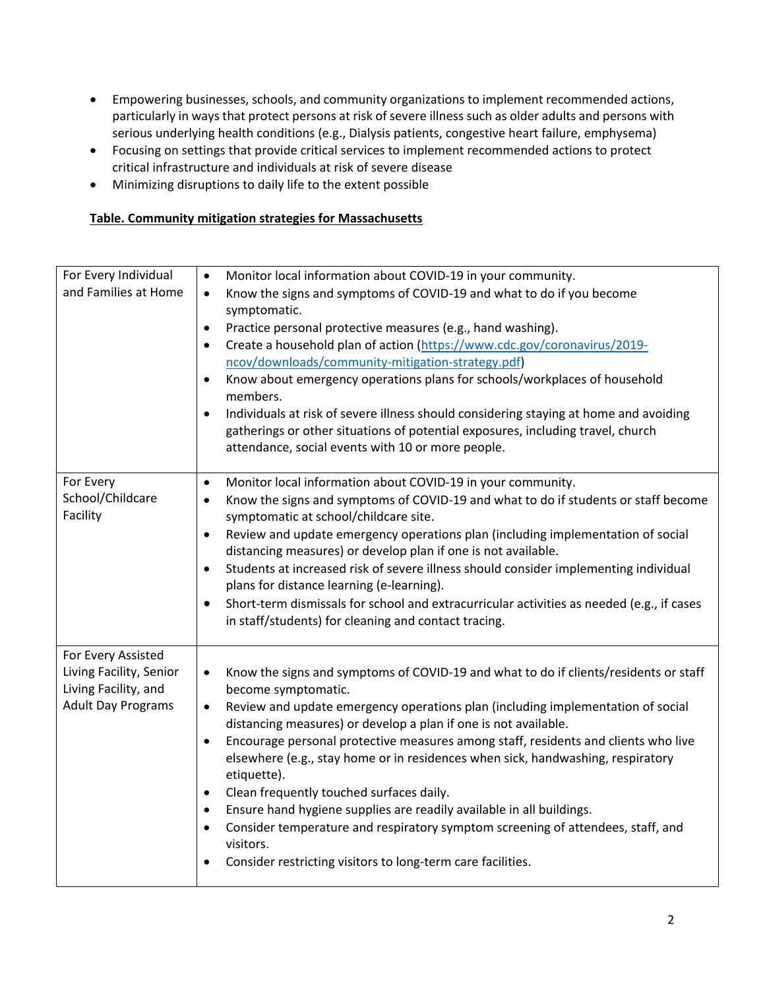- Empowering businesses, schools, and community organizations to implement recommended actions, particularly in ways that protect persons at risk of severe illness such as older adults and persons with serious underlying health conditions (e.g., Dialysis patients, congestive heart failure, emphysema)
- Focusing on settings that provide critical services to implement recommended actions to protect critical infrastructure and individuals at risk of severe disease
- Minimizing disruptions to daily life to the extent possible

## **Table. Community mitigation strategies for Massachusetts**

| For Every Individual      | Monitor local information about COVID-19 in your community.<br>$\bullet$                                                                                                    |
|---------------------------|-----------------------------------------------------------------------------------------------------------------------------------------------------------------------------|
| and Families at Home      | Know the signs and symptoms of COVID-19 and what to do if you become<br>$\bullet$<br>symptomatic.                                                                           |
|                           | Practice personal protective measures (e.g., hand washing).<br>$\bullet$                                                                                                    |
|                           | Create a household plan of action (https://www.cdc.gov/coronavirus/2019-<br>$\bullet$                                                                                       |
|                           | ncov/downloads/community-mitigation-strategy.pdf)                                                                                                                           |
|                           | Know about emergency operations plans for schools/workplaces of household<br>$\bullet$<br>members.                                                                          |
|                           | Individuals at risk of severe illness should considering staying at home and avoiding<br>$\bullet$                                                                          |
|                           | gatherings or other situations of potential exposures, including travel, church                                                                                             |
|                           | attendance, social events with 10 or more people.                                                                                                                           |
| For Every                 |                                                                                                                                                                             |
| School/Childcare          | Monitor local information about COVID-19 in your community.<br>$\bullet$<br>Know the signs and symptoms of COVID-19 and what to do if students or staff become<br>$\bullet$ |
| Facility                  | symptomatic at school/childcare site.                                                                                                                                       |
|                           | Review and update emergency operations plan (including implementation of social<br>$\bullet$                                                                                |
|                           | distancing measures) or develop plan if one is not available.                                                                                                               |
|                           | Students at increased risk of severe illness should consider implementing individual<br>$\bullet$                                                                           |
|                           | plans for distance learning (e-learning).                                                                                                                                   |
|                           | Short-term dismissals for school and extracurricular activities as needed (e.g., if cases<br>$\bullet$                                                                      |
|                           | in staff/students) for cleaning and contact tracing.                                                                                                                        |
| For Every Assisted        |                                                                                                                                                                             |
| Living Facility, Senior   | Know the signs and symptoms of COVID-19 and what to do if clients/residents or staff<br>$\bullet$                                                                           |
| Living Facility, and      | become symptomatic.                                                                                                                                                         |
| <b>Adult Day Programs</b> | Review and update emergency operations plan (including implementation of social<br>$\bullet$<br>distancing measures) or develop a plan if one is not available.             |
|                           | Encourage personal protective measures among staff, residents and clients who live<br>$\bullet$                                                                             |
|                           | elsewhere (e.g., stay home or in residences when sick, handwashing, respiratory<br>etiquette).                                                                              |
|                           | Clean frequently touched surfaces daily.<br>$\bullet$                                                                                                                       |
|                           | Ensure hand hygiene supplies are readily available in all buildings.<br>$\bullet$                                                                                           |
|                           | Consider temperature and respiratory symptom screening of attendees, staff, and<br>$\bullet$                                                                                |
|                           | visitors.                                                                                                                                                                   |
|                           | Consider restricting visitors to long-term care facilities.                                                                                                                 |
|                           |                                                                                                                                                                             |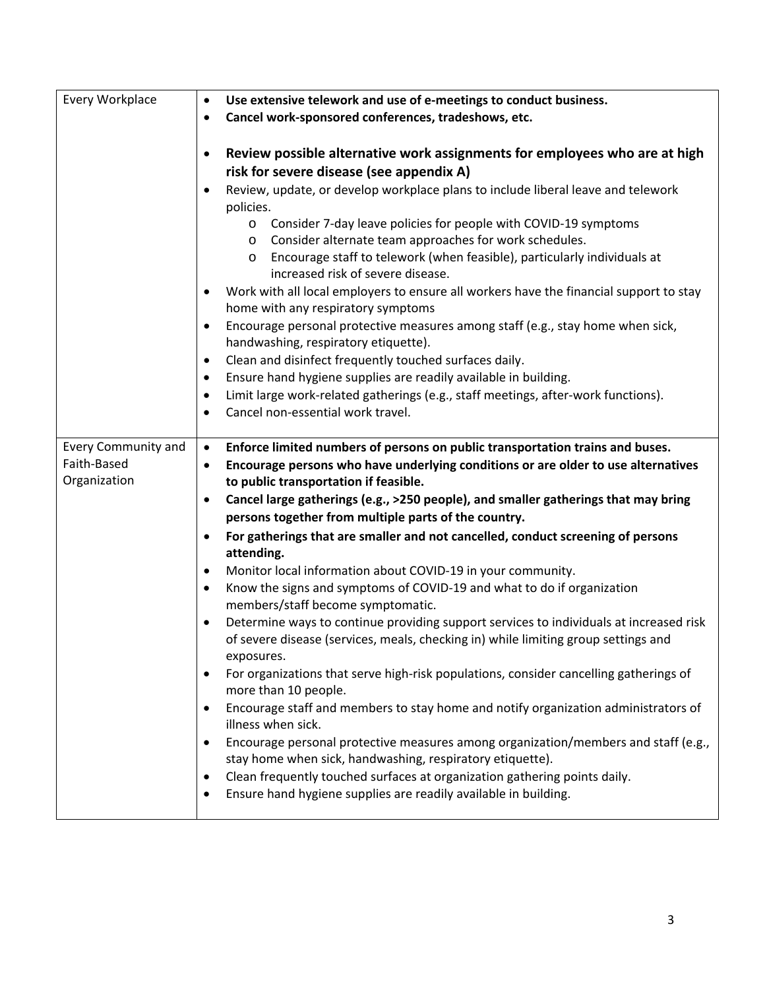| Every Workplace             | Use extensive telework and use of e-meetings to conduct business.<br>$\bullet$<br>Cancel work-sponsored conferences, tradeshows, etc.<br>٠                                                                                    |
|-----------------------------|-------------------------------------------------------------------------------------------------------------------------------------------------------------------------------------------------------------------------------|
|                             |                                                                                                                                                                                                                               |
|                             | Review possible alternative work assignments for employees who are at high<br>$\bullet$<br>risk for severe disease (see appendix A)                                                                                           |
|                             | Review, update, or develop workplace plans to include liberal leave and telework<br>$\bullet$<br>policies.                                                                                                                    |
|                             | o Consider 7-day leave policies for people with COVID-19 symptoms<br>Consider alternate team approaches for work schedules.<br>$\circ$<br>Encourage staff to telework (when feasible), particularly individuals at<br>$\circ$ |
|                             | increased risk of severe disease.                                                                                                                                                                                             |
|                             | Work with all local employers to ensure all workers have the financial support to stay<br>٠<br>home with any respiratory symptoms                                                                                             |
|                             | Encourage personal protective measures among staff (e.g., stay home when sick,<br>$\bullet$<br>handwashing, respiratory etiquette).                                                                                           |
|                             | Clean and disinfect frequently touched surfaces daily.<br>٠                                                                                                                                                                   |
|                             | Ensure hand hygiene supplies are readily available in building.<br>٠                                                                                                                                                          |
|                             | Limit large work-related gatherings (e.g., staff meetings, after-work functions).<br>٠                                                                                                                                        |
|                             | Cancel non-essential work travel.<br>٠                                                                                                                                                                                        |
| <b>Every Community and</b>  | Enforce limited numbers of persons on public transportation trains and buses.<br>$\bullet$                                                                                                                                    |
| Faith-Based<br>Organization | Encourage persons who have underlying conditions or are older to use alternatives<br>$\bullet$<br>to public transportation if feasible.                                                                                       |
|                             | Cancel large gatherings (e.g., >250 people), and smaller gatherings that may bring<br>٠                                                                                                                                       |
|                             | persons together from multiple parts of the country.                                                                                                                                                                          |
|                             | For gatherings that are smaller and not cancelled, conduct screening of persons<br>$\bullet$<br>attending.                                                                                                                    |
|                             | Monitor local information about COVID-19 in your community.<br>٠                                                                                                                                                              |
|                             | Know the signs and symptoms of COVID-19 and what to do if organization<br>٠<br>members/staff become symptomatic.                                                                                                              |
|                             | Determine ways to continue providing support services to individuals at increased risk<br>٠<br>of severe disease (services, meals, checking in) while limiting group settings and<br>exposures.                               |
|                             | For organizations that serve high-risk populations, consider cancelling gatherings of<br>٠<br>more than 10 people.                                                                                                            |
|                             | Encourage staff and members to stay home and notify organization administrators of<br>$\bullet$<br>illness when sick.                                                                                                         |
|                             | Encourage personal protective measures among organization/members and staff (e.g.,<br>٠<br>stay home when sick, handwashing, respiratory etiquette).                                                                          |
|                             | Clean frequently touched surfaces at organization gathering points daily.<br>Ensure hand hygiene supplies are readily available in building.                                                                                  |
|                             |                                                                                                                                                                                                                               |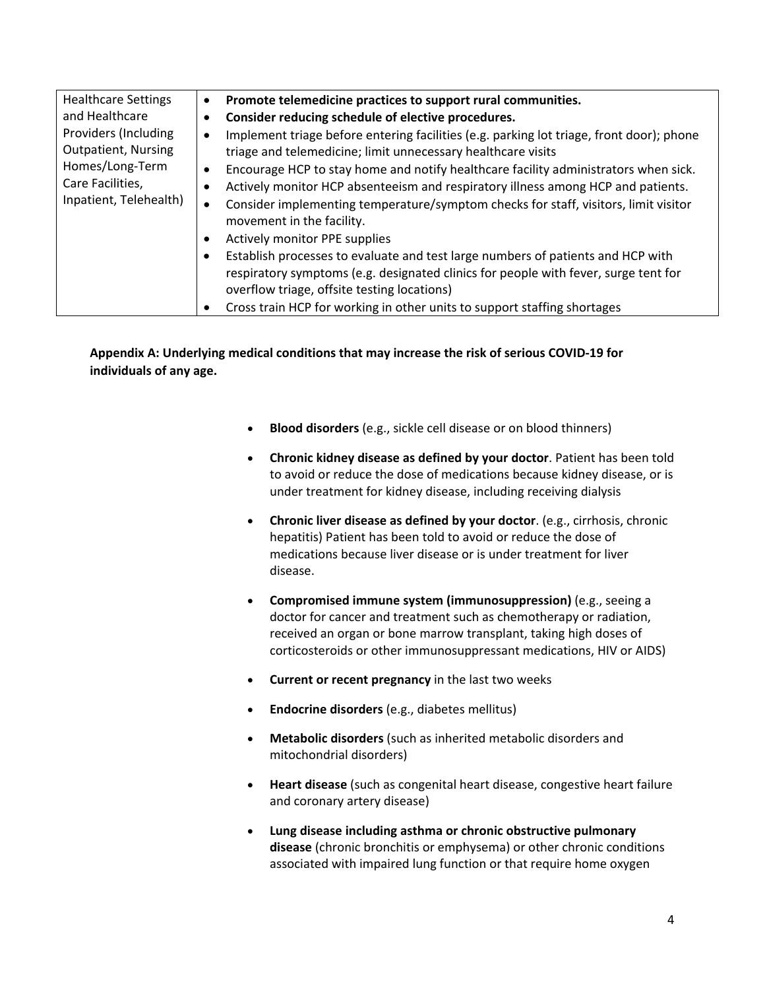| <b>Healthcare Settings</b>                                                                                                            | Promote telemedicine practices to support rural communities.                                                                                                                                                          |
|---------------------------------------------------------------------------------------------------------------------------------------|-----------------------------------------------------------------------------------------------------------------------------------------------------------------------------------------------------------------------|
| and Healthcare<br>Providers (Including<br><b>Outpatient, Nursing</b><br>Homes/Long-Term<br>Care Facilities,<br>Inpatient, Telehealth) | Consider reducing schedule of elective procedures.                                                                                                                                                                    |
|                                                                                                                                       | Implement triage before entering facilities (e.g. parking lot triage, front door); phone<br>triage and telemedicine; limit unnecessary healthcare visits                                                              |
|                                                                                                                                       | Encourage HCP to stay home and notify healthcare facility administrators when sick.<br>٠                                                                                                                              |
|                                                                                                                                       | Actively monitor HCP absenteeism and respiratory illness among HCP and patients.                                                                                                                                      |
|                                                                                                                                       | Consider implementing temperature/symptom checks for staff, visitors, limit visitor<br>$\bullet$<br>movement in the facility.                                                                                         |
|                                                                                                                                       | Actively monitor PPE supplies<br>٠                                                                                                                                                                                    |
|                                                                                                                                       | Establish processes to evaluate and test large numbers of patients and HCP with<br>respiratory symptoms (e.g. designated clinics for people with fever, surge tent for<br>overflow triage, offsite testing locations) |
|                                                                                                                                       | Cross train HCP for working in other units to support staffing shortages<br>٠                                                                                                                                         |

**Appendix A: Underlying medical conditions that may increase the risk of serious COVID-19 for individuals of any age.** 

- **Blood disorders** (e.g., sickle cell disease or on blood thinners)
- **Chronic kidney disease as defined by your doctor**. Patient has been told to avoid or reduce the dose of medications because kidney disease, or is under treatment for kidney disease, including receiving dialysis
- **Chronic liver disease as defined by your doctor**. (e.g., cirrhosis, chronic hepatitis) Patient has been told to avoid or reduce the dose of medications because liver disease or is under treatment for liver disease.
- **Compromised immune system (immunosuppression)** (e.g., seeing a doctor for cancer and treatment such as chemotherapy or radiation, received an organ or bone marrow transplant, taking high doses of corticosteroids or other immunosuppressant medications, HIV or AIDS)
- **Current or recent pregnancy** in the last two weeks
- **Endocrine disorders** (e.g., diabetes mellitus)
- **Metabolic disorders** (such as inherited metabolic disorders and mitochondrial disorders)
- **Heart disease** (such as congenital heart disease, congestive heart failure and coronary artery disease)
- **Lung disease including asthma or chronic obstructive pulmonary disease** (chronic bronchitis or emphysema) or other chronic conditions associated with impaired lung function or that require home oxygen